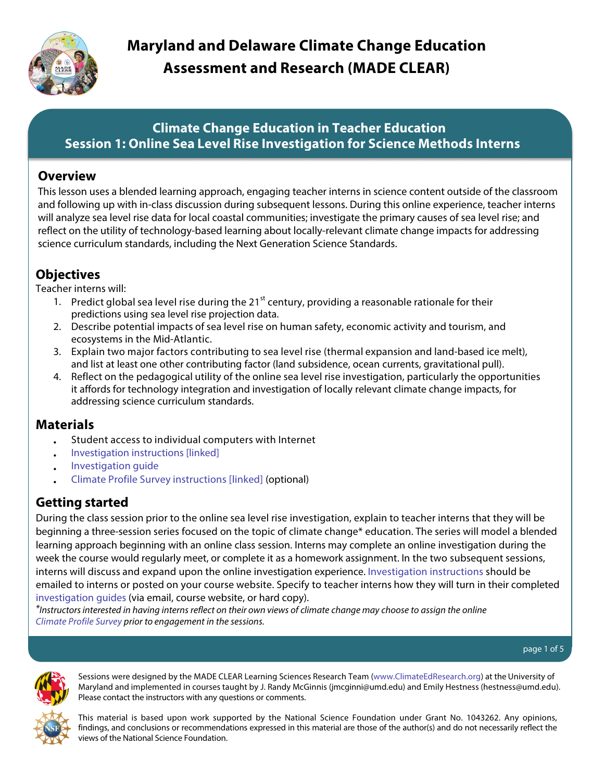<span id="page-0-0"></span>

# **Maryland and Delaware Climate Change Education Assessment and Research (MADE CLEAR)**

## **Climate Change Education in Teacher Education Session 1: Online Sea Level Rise Investigation for Science Methods Interns**

## **Overview**

This lesson uses a blended learning approach, engaging teacher interns in science content outside of the classroom and following up with in-class discussion during subsequent lessons. During this online experience, teacher interns will analyze sea level rise data for local coastal communities; investigate the primary causes of sea level rise; and reflect on the utility of technology-based learning about locally-relevant climate change impacts for addressing science curriculum standards, including the Next Generation Science Standards.

## **Objectives**

Teacher interns will:

- 1. Predict global sea level rise during the 21 $^{\text{st}}$  century, providing a reasonable rationale for their predictions using sea level rise projection data.
- 2. Describe potential impacts of sea level rise on human safety, economic activity and tourism, and ecosystems in the Mid-Atlantic.
- 3. Explain two major factors contributing to sea level rise (thermal expansion and land-based ice melt), and list at least one other contributing factor (land subsidence, ocean currents, gravitational pull).
- 4. Reflect on the pedagogical utility of the online sea level rise investigation, particularly the opportunities it affords for technology integration and investigation of locally relevant climate change impacts, for addressing science curriculum standards.

## **Materials**

- Student access to individual computers with Internet
- Investigation [instructions \[linked\]](#page-3-0)
- [Investigation](http://www.climateedresearch.org/science-methods/sea-level-rise/investigation-guide.pdf) guide
- [Climate Profile Survey instructions \[linked\]](#page-4-0) (optional)

## **Getting started**

During the class session prior to the online sea level rise investigation, explain to teacher interns that they will be beginning a three-session series focused on the topic of climate change\* education. The series will model a blended learning approach beginning with an online class session. Interns may complete an online investigation during the week the course would regularly meet, or complete it as a homework assignment. In the two subsequent sessions, interns will discuss and expand upon the online investigation experience. [Investigation](#page-3-0) instructions should be emailed to interns or posted on your course website. Specify to teacher interns how they will turn in their completed [investigation](http://www.climateedresearch.org/science-methods/sea-level-rise/investigation-guide.pdf) guides (via email, course website, or hard copy).

\*Instructors interested in having interns reflect on their own views of climate change may choose to assign the online [Climate Profile Survey](http://uw.kqed.org/climatesurvey/index-kqed.php) prior to engagement in the sessions.

page 1 of 5



Sessions were designed by the MADE CLEAR Learning Sciences Research Team [\(www.ClimateEdResearch.org\)](http://www.climateedresearch.org) at the University of Maryland and implemented in courses taught by J. Randy McGinnis (jmcginni@umd.edu) and Emily Hestness (hestness@umd.edu). Please contact the instructors with any questions or comments.

This material is based upon work supported by the National Science Foundation under Grant No. 1043262. Any opinions, findings, and conclusions or recommendations expressed in this material are those of the author(s) and do not necessarily reflect the views of the National Science Foundation.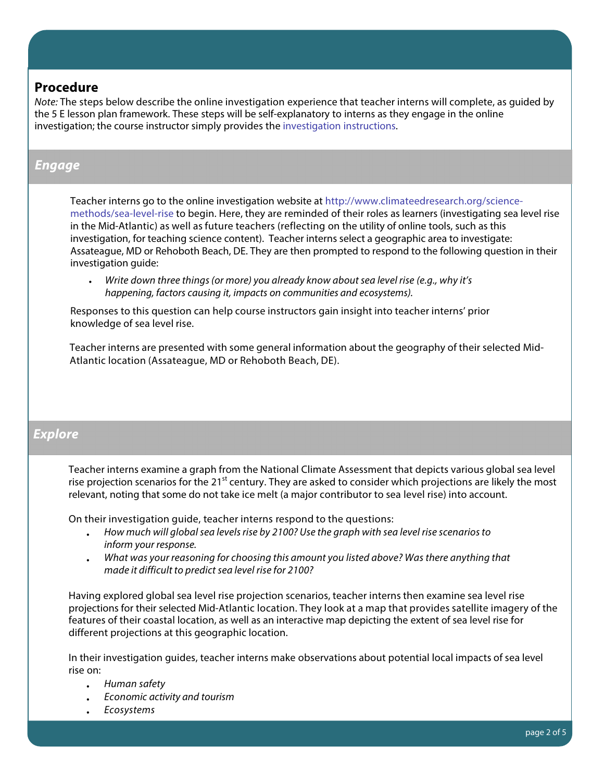#### **Procedure**

Note: The steps below describe the online investigation experience that teacher interns will complete, as guided by the 5 E lesson plan framework. These steps will be self-explanatory to interns as they engage in the online investigation; the course instructor simply provides the [investigation](#page-3-0) instructions.

## **Engage**

Teacher interns go to the online investigation website at [http://www.climateedresearch.org/science](http://www.climateedresearch.org/science-methods/sea-level-rise/)[methods/sea-level-rise](http://www.climateedresearch.org/science-methods/sea-level-rise/) to begin. Here, they are reminded of their roles as learners (investigating sea level rise in the Mid-Atlantic) as well as future teachers (reflecting on the utility of online tools, such as this investigation, for teaching science content). Teacher interns select a geographic area to investigate: Assateague, MD or Rehoboth Beach, DE. They are then prompted to respond to the following question in their investigation guide:

Write down three things (or more) you already know about sea level rise (e.g., why it's happening, factors causing it, impacts on communities and ecosystems).

Responses to this question can help course instructors gain insight into teacher interns' prior knowledge of sea level rise.

Teacher interns are presented with some general information about the geography of their selected Mid-Atlantic location (Assateague, MD or Rehoboth Beach, DE).

## **Explore**

Teacher interns examine a graph from the National Climate Assessment that depicts various global sea level rise projection scenarios for the 21<sup>st</sup> century. They are asked to consider which projections are likely the most relevant, noting that some do not take ice melt (a major contributor to sea level rise) into account.

On their investigation guide, teacher interns respond to the questions:

- How much will global sea levels rise by 2100? Use the graph with sea level rise scenarios to inform your response.
- What was your reasoning for choosing this amount you listed above? Was there anything that made it difficult to predict sea level rise for 2100?

Having explored global sea level rise projection scenarios, teacher interns then examine sea level rise projections for their selected Mid-Atlantic location. They look at a map that provides satellite imagery of the features of their coastal location, as well as an interactive map depicting the extent of sea level rise for different projections at this geographic location.

In their investigation guides, teacher interns make observations about potential local impacts of sea level rise on:

- Human safety
- Economic activity and tourism
- **Ecosystems**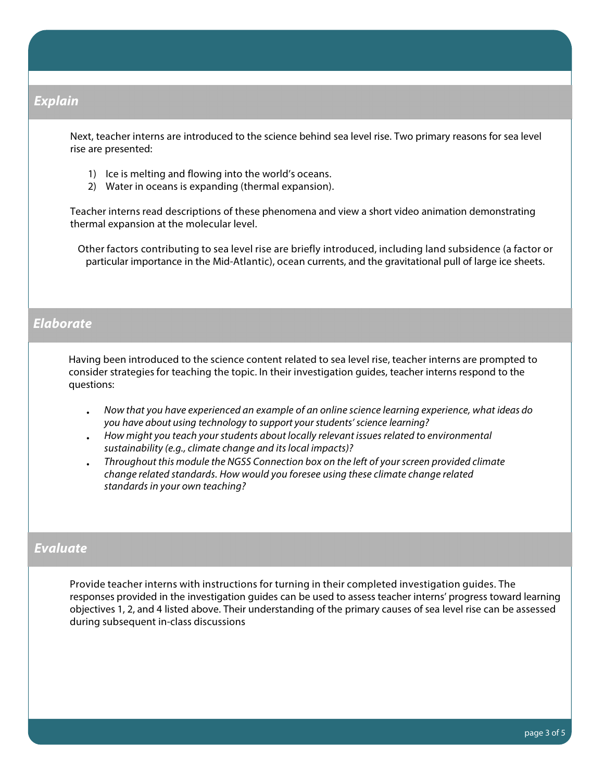#### **Explain**

Next, teacher interns are introduced to the science behind sea level rise. Two primary reasons for sea level rise are presented:

- 1) Ice is melting and flowing into the world's oceans.
- 2) Water in oceans is expanding (thermal expansion).

Teacher interns read descriptions of these phenomena and view a short video animation demonstrating thermal expansion at the molecular level.

Other factors contributing to sea level rise are briefly introduced, including land subsidence (a factor or particular importance in the Mid-Atlantic), ocean currents, and the gravitational pull of large ice sheets.

#### **Elaborate**

Having been introduced to the science content related to sea level rise, teacher interns are prompted to consider strategies for teaching the topic. In their investigation guides, teacher interns respond to the questions:

- Now that you have experienced an example of an online science learning experience, what ideas do you have about using technology to support your students' science learning?
- How might you teach your students about locally relevant issues related to environmental sustainability (e.g., climate change and its local impacts)?
- Throughout this module the NGSS Connection box on the left of your screen provided climate change related standards. How would you foresee using these climate change related standards in your own teaching?

#### **Evaluate**

Provide teacher interns with instructions for turning in their completed investigation guides. The responses provided in the investigation guides can be used to assess teacher interns' progress toward learning objectives 1, 2, and 4 listed above. Their understanding of the primary causes of sea level rise can be assessed during subsequent in-class discussions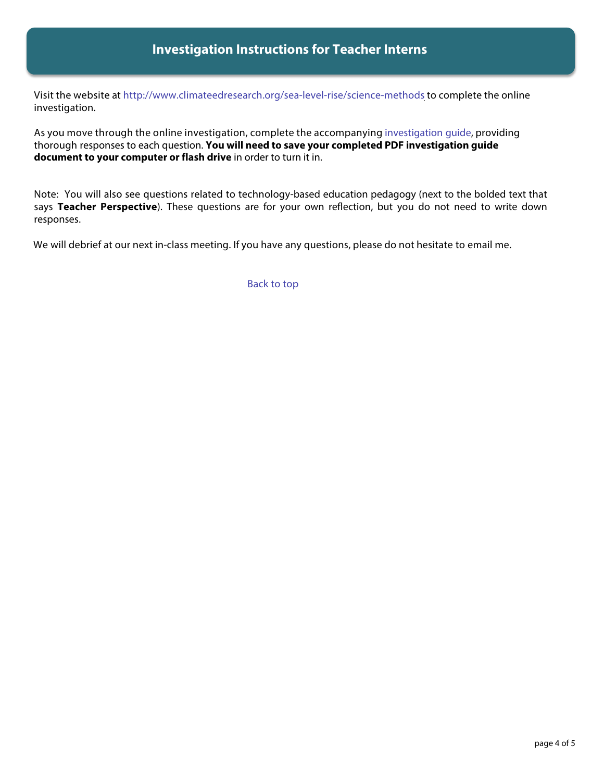## **Investigation Instructions for Teacher Interns**

<span id="page-3-0"></span>Visit the website at [http://www.climateedresearch.org/sea-level-rise/science-methods](http://www.climateedresearch.org/science-methods/sea-level-rise/) to complete the online investigation.

As you move through the online investigation, complete the accompanying [investigation](http://www.climateedresearch.org/science-methods/sea-level-rise/investigation-guide.pdf) guide, providing thorough responses to each question. **You will need to save your completed PDF investigation guide document to your computer or flash drive** in order to turn it in.

Note: You will also see questions related to technology-based education pedagogy (next to the bolded text that says **Teacher Perspective**). These questions are for your own reflection, but you do not need to write down responses.

We will debrief at our next in-class meeting. If you have any questions, please do not hesitate to email me.

[Back to top](#page-0-0)